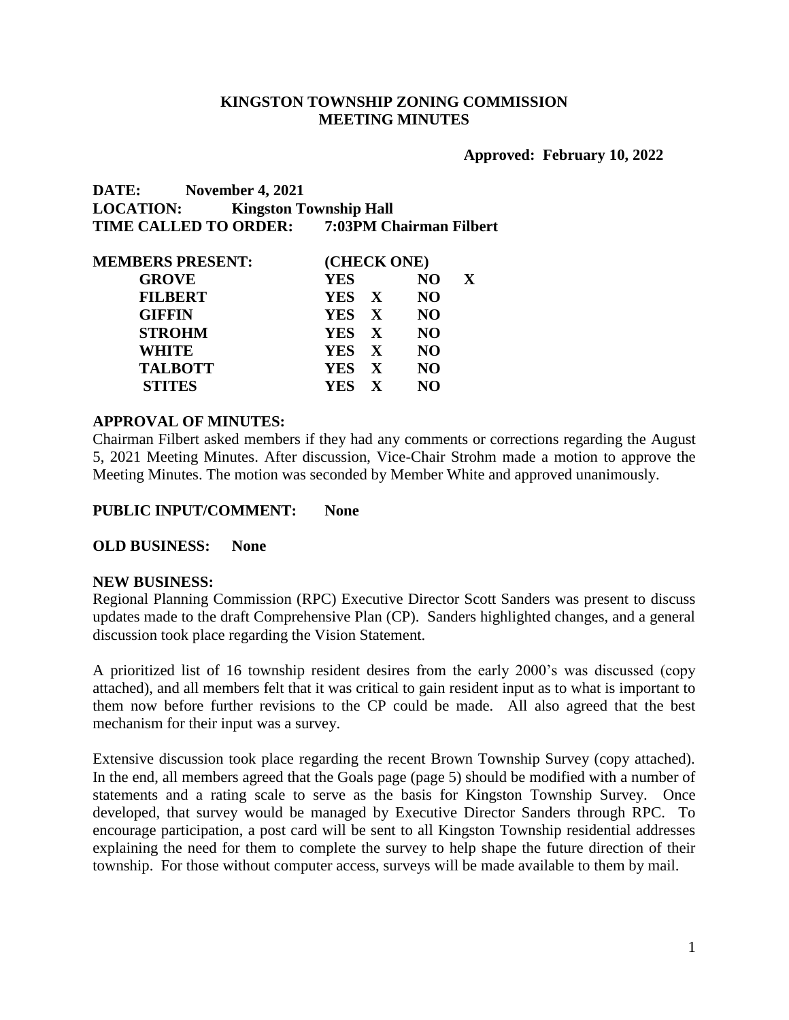# **KINGSTON TOWNSHIP ZONING COMMISSION MEETING MINUTES**

### **Approved: February 10, 2022**

# **DATE: November 4, 2021 LOCATION: Kingston Township Hall TIME CALLED TO ORDER: 7:03PM Chairman Filbert**

| <b>MEMBERS PRESENT:</b> | (CHECK ONE) |           |              |  |  |
|-------------------------|-------------|-----------|--------------|--|--|
| <b>GROVE</b>            | <b>YES</b>  | NO.       | $\mathbf{X}$ |  |  |
| <b>FILBERT</b>          | YES X       | <b>NO</b> |              |  |  |
| <b>GIFFIN</b>           | YES X       | <b>NO</b> |              |  |  |
| <b>STROHM</b>           | YES X       | <b>NO</b> |              |  |  |
| WHITE                   | YES X       | <b>NO</b> |              |  |  |
| <b>TALBOTT</b>          | YES X       | <b>NO</b> |              |  |  |
| <b>STITES</b>           | YES X       | NO        |              |  |  |
|                         |             |           |              |  |  |

# **APPROVAL OF MINUTES:**

Chairman Filbert asked members if they had any comments or corrections regarding the August 5, 2021 Meeting Minutes. After discussion, Vice-Chair Strohm made a motion to approve the Meeting Minutes. The motion was seconded by Member White and approved unanimously.

#### **PUBLIC INPUT/COMMENT: None**

## **OLD BUSINESS: None**

#### **NEW BUSINESS:**

Regional Planning Commission (RPC) Executive Director Scott Sanders was present to discuss updates made to the draft Comprehensive Plan (CP). Sanders highlighted changes, and a general discussion took place regarding the Vision Statement.

A prioritized list of 16 township resident desires from the early 2000's was discussed (copy attached), and all members felt that it was critical to gain resident input as to what is important to them now before further revisions to the CP could be made. All also agreed that the best mechanism for their input was a survey.

Extensive discussion took place regarding the recent Brown Township Survey (copy attached). In the end, all members agreed that the Goals page (page 5) should be modified with a number of statements and a rating scale to serve as the basis for Kingston Township Survey. Once developed, that survey would be managed by Executive Director Sanders through RPC. To encourage participation, a post card will be sent to all Kingston Township residential addresses explaining the need for them to complete the survey to help shape the future direction of their township. For those without computer access, surveys will be made available to them by mail.